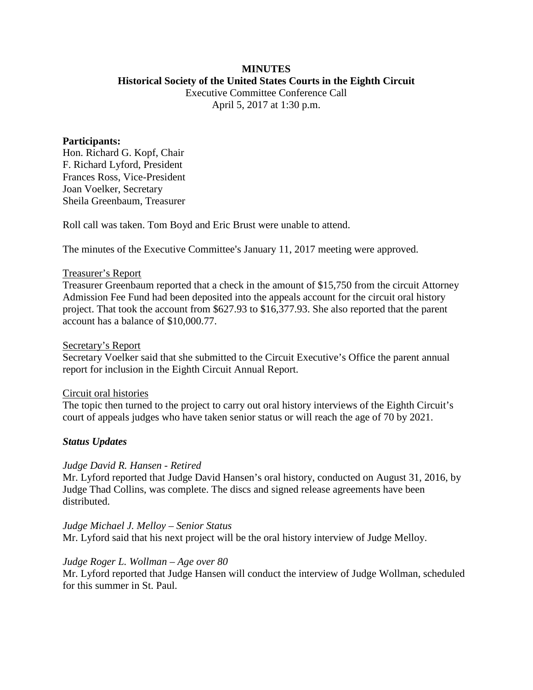### **MINUTES Historical Society of the United States Courts in the Eighth Circuit**

Executive Committee Conference Call April 5, 2017 at 1:30 p.m.

### **Participants:**

Hon. Richard G. Kopf, Chair F. Richard Lyford, President Frances Ross, Vice-President Joan Voelker, Secretary Sheila Greenbaum, Treasurer

Roll call was taken. Tom Boyd and Eric Brust were unable to attend.

The minutes of the Executive Committee's January 11, 2017 meeting were approved.

## Treasurer's Report

Treasurer Greenbaum reported that a check in the amount of \$15,750 from the circuit Attorney Admission Fee Fund had been deposited into the appeals account for the circuit oral history project. That took the account from \$627.93 to \$16,377.93. She also reported that the parent account has a balance of \$10,000.77.

### Secretary's Report

Secretary Voelker said that she submitted to the Circuit Executive's Office the parent annual report for inclusion in the Eighth Circuit Annual Report.

### Circuit oral histories

The topic then turned to the project to carry out oral history interviews of the Eighth Circuit's court of appeals judges who have taken senior status or will reach the age of 70 by 2021.

# *Status Updates*

# *Judge David R. Hansen - Retired*

Mr. Lyford reported that Judge David Hansen's oral history, conducted on August 31, 2016, by Judge Thad Collins, was complete. The discs and signed release agreements have been distributed.

*Judge Michael J. Melloy – Senior Status* Mr. Lyford said that his next project will be the oral history interview of Judge Melloy.

# *Judge Roger L. Wollman – Age over 80*

Mr. Lyford reported that Judge Hansen will conduct the interview of Judge Wollman, scheduled for this summer in St. Paul.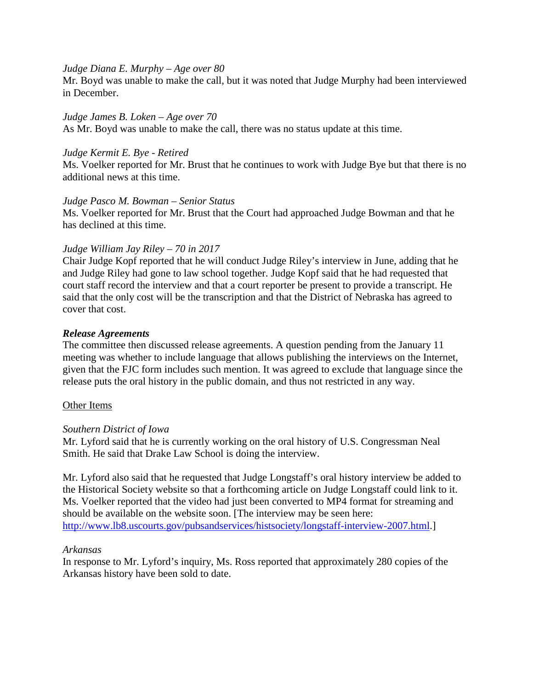## *Judge Diana E. Murphy – Age over 80*

Mr. Boyd was unable to make the call, but it was noted that Judge Murphy had been interviewed in December.

## *Judge James B. Loken – Age over 70*

As Mr. Boyd was unable to make the call, there was no status update at this time.

## *Judge Kermit E. Bye - Retired*

Ms. Voelker reported for Mr. Brust that he continues to work with Judge Bye but that there is no additional news at this time.

## *Judge Pasco M. Bowman – Senior Status*

Ms. Voelker reported for Mr. Brust that the Court had approached Judge Bowman and that he has declined at this time.

## *Judge William Jay Riley – 70 in 2017*

Chair Judge Kopf reported that he will conduct Judge Riley's interview in June, adding that he and Judge Riley had gone to law school together. Judge Kopf said that he had requested that court staff record the interview and that a court reporter be present to provide a transcript. He said that the only cost will be the transcription and that the District of Nebraska has agreed to cover that cost.

## *Release Agreements*

The committee then discussed release agreements. A question pending from the January 11 meeting was whether to include language that allows publishing the interviews on the Internet, given that the FJC form includes such mention. It was agreed to exclude that language since the release puts the oral history in the public domain, and thus not restricted in any way.

# Other Items

# *Southern District of Iowa*

Mr. Lyford said that he is currently working on the oral history of U.S. Congressman Neal Smith. He said that Drake Law School is doing the interview.

Mr. Lyford also said that he requested that Judge Longstaff's oral history interview be added to the Historical Society website so that a forthcoming article on Judge Longstaff could link to it. Ms. Voelker reported that the video had just been converted to MP4 format for streaming and should be available on the website soon. [The interview may be seen here: [http://www.lb8.uscourts.gov/pubsandservices/histsociety/longstaff-interview-2007.html.](http://www.lb8.uscourts.gov/pubsandservices/histsociety/longstaff-interview-2007.html)]

### *Arkansas*

In response to Mr. Lyford's inquiry, Ms. Ross reported that approximately 280 copies of the Arkansas history have been sold to date.